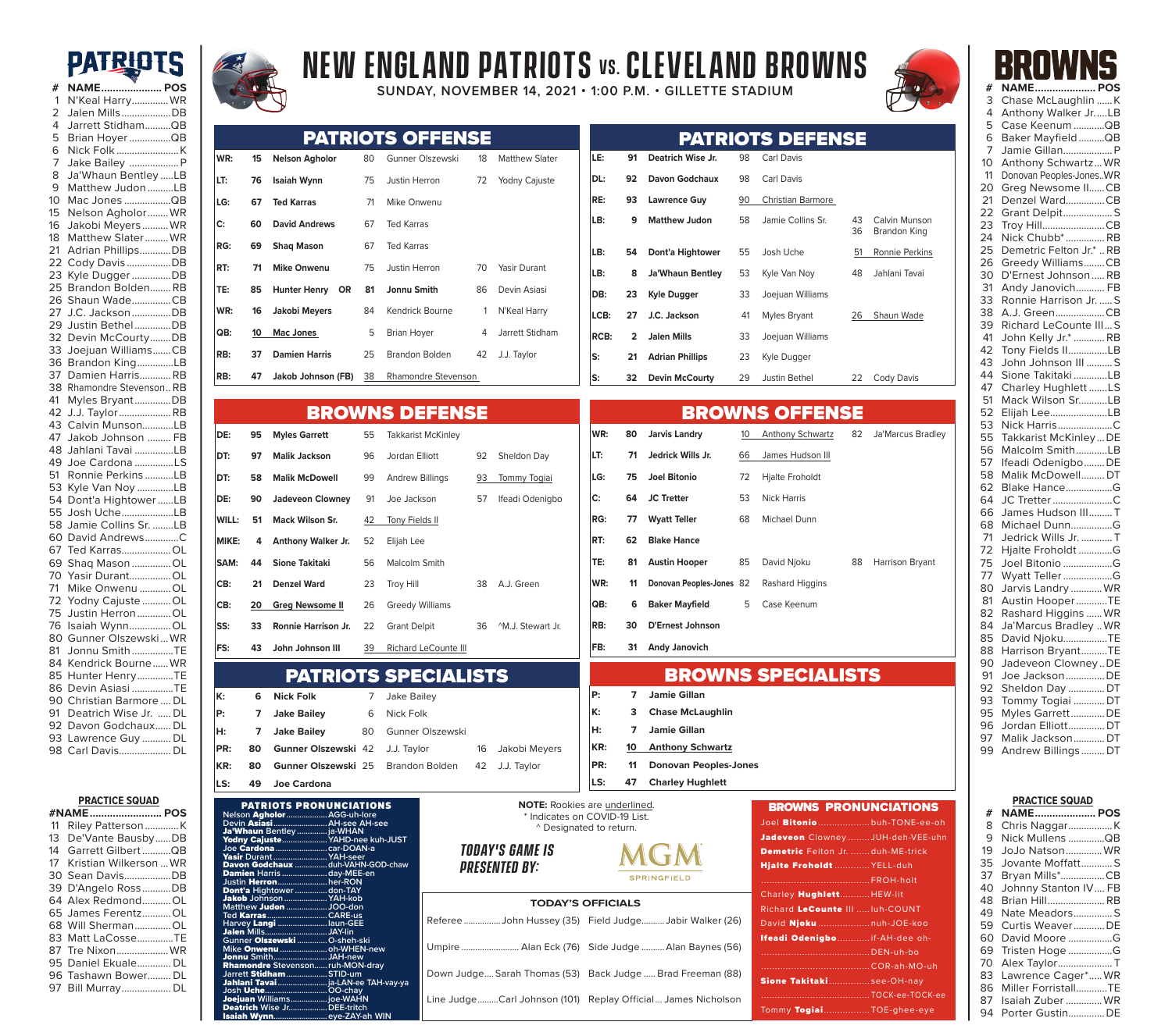## **PATRIOTS**





PATRIOTS PRONUNCIATIONS **Nelson** Agholor**...................AGG-uh-lore Devin** Asiasi**.........................AH-see AH-see**

Yodny Cajuste**.....................YAHD-nee kuh-JUST Joe** Cardona**........................car-DOAN-a** 

Davon Godchaux **...............duh-VAHN-GOD-chaw en** Harris ............................day-MEE-en<br>**Herron** .........................her-RON

**Micheland**<br> **JAH-new** 

**Isais**<br>Isais ZAY-al

**Justin** Herron**.......................her-RON** Dont'a **Hightower...............don-TAY** Jakob **Johnson....................YAH-kob Matthew** Judon **...................JOO-don** 

**Ted** Karras**............................CARE-us Harvey** Langi **.......................laun-GEE** Jalen **Mills.............................JAY-lin** 

Jonnu **Smith.........................JAH-new**  Rhamondre **Stevenson......ruh-MON-dray Jarrett** Stidham**...................STID-um**

Jahlani Tavai**.......................ja-LAN-ee TAH-vay-ya Josh** Uche**.............................OO-chay**  Joejuan **Williams.................joe-WAHN** Deatrich **Wise Jr..................DEE-tritch** 

Ja'Whaun **Bentley ..............ja-WHAN** 

usip Durant........<br>e **Cardona**.........<br>**sir** Durant..........<br>Ivon Godchaux

**Guen Millon.................**<br>Gunner **Olszewski**<br>Aike **Onwenu** .........<br>Ionnu Smith...........

|    | #NAME POS              |  |
|----|------------------------|--|
| 11 | Riley Patterson K      |  |
| 13 | De'Vante BausbyDB      |  |
| 14 | Garrett GilbertQB      |  |
| 17 | Kristian Wilkerson  WR |  |
|    | 30 Sean DavisDB        |  |
|    | 39 D'Angelo RossDB     |  |
|    | 64 Alex RedmondOL      |  |
|    | 65 James FerentzOL     |  |
|    | 68 Will ShermanOL      |  |
|    | 83 Matt LaCosseTE      |  |
|    | 87 Tre NixonWR         |  |
|    | 95 Daniel Ekuale DL    |  |
|    | 96 Tashawn Bower DL    |  |
|    | 97 Bill Murray DL      |  |



# **New England Patriots vs.CLEVELAND BROWNS**

**SUNDAY, NOVEMBER 14, 2021 • 1:00 P.M. • GILLETTE STADIUM** 



|       |    |                                  |    | <b>PATRIOTS OFFENSE</b>     |    |                               |      |                |                              |    | <b>PATRIOTS DEFENSE</b>   |          |                                |
|-------|----|----------------------------------|----|-----------------------------|----|-------------------------------|------|----------------|------------------------------|----|---------------------------|----------|--------------------------------|
| WR:   | 15 | <b>Nelson Agholor</b>            | 80 | Gunner Olszewski            | 18 | <b>Matthew Slater</b>         | LE:  | 91             | <b>Deatrich Wise Jr.</b>     | 98 | Carl Davis                |          |                                |
| LT:   | 76 | Isaiah Wynn                      | 75 | Justin Herron               | 72 | Yodny Cajuste                 | DL:  | 92             | <b>Davon Godchaux</b>        | 98 | <b>Carl Davis</b>         |          |                                |
| LG:   | 67 | <b>Ted Karras</b>                | 71 | Mike Onwenu                 |    |                               | RE:  | 93             | <b>Lawrence Guy</b>          | 90 | <b>Christian Barmore</b>  |          |                                |
| C:    | 60 | <b>David Andrews</b>             | 67 | <b>Ted Karras</b>           |    |                               | LB:  | 9              | <b>Matthew Judon</b>         | 58 | Jamie Collins Sr.         | 43<br>36 | Calvin Munson                  |
| RG:   | 69 | <b>Shaq Mason</b>                | 67 | <b>Ted Karras</b>           |    |                               | LB:  | 54             | Dont'a Hightower             | 55 | Josh Uche                 | 51       | Brandon King<br>Ronnie Perkins |
| RT:   | 71 | <b>Mike Onwenu</b>               | 75 | Justin Herron               | 70 | <b>Yasir Durant</b>           | LB:  | 8              | <b>Ja'Whaun Bentley</b>      | 53 | Kyle Van Noy              | 48       | Jahlani Tavai                  |
| TE:   | 85 | <b>OR</b><br><b>Hunter Henry</b> | 81 | <b>Jonnu Smith</b>          | 86 | Devin Asiasi                  | DB:  | 23             | <b>Kyle Dugger</b>           | 33 | Joejuan Williams          |          |                                |
| WR:   | 16 | Jakobi Meyers                    | 84 | Kendrick Bourne             | -1 | N'Keal Harry                  | LCB: | 27             | J.C. Jackson                 | 41 | Myles Bryant              | 26       | Shaun Wade                     |
| QB:   | 10 | <b>Mac Jones</b>                 | 5  | <b>Brian Hoyer</b>          | 4  | Jarrett Stidham               | RCB: | $\overline{2}$ | Jalen Mills                  | 33 | Joejuan Williams          |          |                                |
| RB:   | 37 | <b>Damien Harris</b>             | 25 | <b>Brandon Bolden</b>       | 42 | J.J. Taylor                   | S:   | 21             | <b>Adrian Phillips</b>       | 23 | Kyle Dugger               |          |                                |
| RB:   | 47 | Jakob Johnson (FB)               | 38 | <b>Rhamondre Stevenson</b>  |    |                               | S:   | 32             | <b>Devin McCourty</b>        | 29 | <b>Justin Bethel</b>      | 22       | Cody Davis                     |
|       |    |                                  |    |                             |    |                               |      |                |                              |    |                           |          |                                |
|       |    |                                  |    | <b>BROWNS DEFENSE</b>       |    |                               |      |                |                              |    | <b>BROWNS OFFENSE</b>     |          |                                |
| DE:   | 95 | <b>Myles Garrett</b>             | 55 | <b>Takkarist McKinley</b>   |    |                               | WR:  | 80             | <b>Jarvis Landry</b>         | 10 | Anthony Schwartz          | 82       | Ja'Marcus Bradley              |
| DT:   | 97 | <b>Malik Jackson</b>             | 96 | Jordan Elliott              | 92 | Sheldon Day                   | LT:  | 71             | Jedrick Wills Jr.            | 66 | James Hudson III          |          |                                |
| DT:   | 58 | <b>Malik McDowell</b>            | 99 | <b>Andrew Billings</b>      | 93 | Tommy Togiai                  | LG:  | 75             | <b>Joel Bitonio</b>          | 72 | <b>Hjalte Froholdt</b>    |          |                                |
| DE:   | 90 | <b>Jadeveon Clowney</b>          | 91 | Joe Jackson                 | 57 | Ifeadi Odenigbo               | C:   | 64             | <b>JC Tretter</b>            | 53 | <b>Nick Harris</b>        |          |                                |
| WILL: | 51 | <b>Mack Wilson Sr.</b>           | 42 | Tony Fields II              |    |                               | RG:  | 77             | <b>Wyatt Teller</b>          | 68 | Michael Dunn              |          |                                |
| MIKE: | 4  | Anthony Walker Jr.               | 52 | Elijah Lee                  |    |                               | RT:  | 62             | <b>Blake Hance</b>           |    |                           |          |                                |
| SAM:  | 44 | <b>Sione Takitaki</b>            | 56 | Malcolm Smith               |    |                               | TE:  | 81             | <b>Austin Hooper</b>         | 85 | David Njoku               | 88       | Harrison Bryant                |
| CB:   | 21 | <b>Denzel Ward</b>               | 23 | <b>Troy Hill</b>            | 38 | A.J. Green                    | WR:  | 11             | Donovan Peoples-Jones 82     |    | Rashard Higgins           |          |                                |
| CB:   | 20 | <b>Greg Newsome II</b>           | 26 | <b>Greedy Williams</b>      |    |                               | QB:  | 6              | <b>Baker Mayfield</b>        | 5  | Case Keenum               |          |                                |
| SS:   | 33 | Ronnie Harrison Jr.              | 22 | <b>Grant Delpit</b>         | 36 | <sup>^</sup> M.J. Stewart Jr. | RB:  | 30             | <b>D'Ernest Johnson</b>      |    |                           |          |                                |
| FS:   | 43 | John Johnson III                 | 39 | Richard LeCounte III        |    |                               | FB:  | 31             | <b>Andy Janovich</b>         |    |                           |          |                                |
|       |    |                                  |    | <b>PATRIOTS SPECIALISTS</b> |    |                               |      |                |                              |    | <b>BROWNS SPECIALISTS</b> |          |                                |
| K:    | 6  | <b>Nick Folk</b>                 | 7  | Jake Bailey                 |    |                               | P:   | 7              | Jamie Gillan                 |    |                           |          |                                |
| P:    | 7  | <b>Jake Bailey</b>               | 6  | Nick Folk                   |    |                               | К:   | з              | <b>Chase McLaughlin</b>      |    |                           |          |                                |
| H:    | 7  | <b>Jake Bailey</b>               | 80 | Gunner Olszewski            |    |                               | H:   | 7              | Jamie Gillan                 |    |                           |          |                                |
| PR:   | 80 | Gunner Olszewski 42              |    | J.J. Taylor                 | 16 | Jakobi Meyers                 | KR:  | 10             | <b>Anthony Schwartz</b>      |    |                           |          |                                |
| KR:   | 80 | Gunner Olszewski 25              |    | <b>Brandon Bolden</b>       | 42 | J.J. Taylor                   | PR:  | 11             | <b>Donovan Peoples-Jones</b> |    |                           |          |                                |
| LS:   | 49 | <b>Joe Cardona</b>               |    |                             |    |                               | LS:  | 47             | <b>Charley Hughlett</b>      |    |                           |          |                                |

| <b>NOTE:</b> Rookies are underlined. |
|--------------------------------------|
| * Indicates on COVID-19 List.        |
| ^ Designated to return.              |

MGM

*Today's game is* 

| IUUMI U UMINIL IU           |  |
|-----------------------------|--|
| <i><b>PRESENTED BY:</b></i> |  |

|  | <b>SPRINGFIELD</b>                                           |
|--|--------------------------------------------------------------|
|  | <b>TODAY'S OFFICIALS</b>                                     |
|  | Referee John Hussey (35) Field JudgeJabir Walker (26)        |
|  | Umpire  Alan Eck (76) Side Judge  Alan Baynes (56)           |
|  | Down Judge Sarah Thomas (53) Back Judge  Brad Freeman (88)   |
|  | Line JudgeCarl Johnson (101) Replay Official James Nicholson |

| <b>BROWNS PRONUNCIATIONS</b>     |  |
|----------------------------------|--|
| Joel Bitonio buh-TONE-ee-oh      |  |
| Jadeveon Clowney JUH-deh-VEE-uhn |  |
| Demetric Felton Jr. duh-ME-trick |  |
| Hjalte Froholdt YELL-duh         |  |
|                                  |  |
| Charley HughlettHEW-lit          |  |
| Richard LeCounte III  luh-COUNT  |  |
| David Njoku nuh-JOE-koo          |  |
| Ifeadi Odenigbo  if-AH-dee oh-   |  |
|                                  |  |
|                                  |  |
| Sione Takitakisee-OH-nay         |  |
|                                  |  |
| Tommy TogiaiTOE-ghee-eye         |  |

|          | IWINU                                    |  |
|----------|------------------------------------------|--|
| #        | <b>NAME POS</b>                          |  |
| 3        | Chase McLaughlin K                       |  |
| 4        | Anthony Walker JrLB                      |  |
| 5        | Case Keenum QB                           |  |
| 6        | Baker MayfieldQB                         |  |
| 7        | Jamie Gillan P                           |  |
| 10       | Anthony Schwartz WR                      |  |
| 11       | Donovan Peoples-JonesWR                  |  |
| 20       | Greg Newsome IICB                        |  |
| 21       | Denzel WardCB                            |  |
| 22       | <b>Grant DelpitS</b>                     |  |
| 23       | Troy HillCB                              |  |
| 24       | Nick Chubb <sup>*</sup> RB               |  |
| 25       | Demetric Felton Jr.* RB                  |  |
| 26       | Greedy WilliamsCB                        |  |
| 30       | D'Ernest JohnsonRB                       |  |
| 31       | Andy Janovich FB                         |  |
| 33       | Ronnie Harrison Jr.  S                   |  |
|          |                                          |  |
| 38<br>39 | A.J. GreenCB<br>Richard LeCounte IIIS    |  |
| 41       | John Kelly Jr.*  RB                      |  |
|          |                                          |  |
| 42<br>43 | Tony Fields IILB                         |  |
|          | John Johnson III S                       |  |
| 44       | Sione TakitakiLB                         |  |
| 47       | Charley Hughlett LS                      |  |
| 51       | Mack Wilson Sr LB                        |  |
| 52       | Elijah LeeLB                             |  |
| 53<br>55 | Nick HarrisC<br>Takkarist McKinleyDE     |  |
| 56       | Malcolm SmithLB                          |  |
| 57       |                                          |  |
| 58       | Ifeadi OdenigboDE<br>Malik McDowell DT   |  |
| 62       | Blake HanceG                             |  |
| 64       |                                          |  |
| 66       | JC Tretter C<br>James Hudson IIIT        |  |
| 68       | Michael DunnG                            |  |
| 71       |                                          |  |
| 72       | Jedrick Wills Jr. T<br>Hjalte Froholdt G |  |
| 75       | Joel Bitonio G                           |  |
| 77       | Wyatt Teller G                           |  |
| 80       | Jarvis Landry  WR                        |  |
|          |                                          |  |
| 81       | Austin HooperTE                          |  |
| 82       | Rashard Higgins  WR                      |  |
| 84       | Ja'Marcus Bradley WR                     |  |
| 85       | David NjokuTE                            |  |
| 88       | Harrison BryantTE                        |  |
| 90       | Jadeveon ClowneyDE                       |  |
| 91       | Joe Jackson DE                           |  |
| 92       | Sheldon Day  DT                          |  |
| 93       | Tommy Togiai  DT                         |  |
| 95       | Myles GarrettDE                          |  |
| 96       | Jordan Elliott DT                        |  |
| 97       | Malik Jackson DT                         |  |
| 99       | Andrew BillingsDT                        |  |
|          |                                          |  |

| <b>PRACTICE SQUAD</b> |                      |  |  |  |  |  |  |
|-----------------------|----------------------|--|--|--|--|--|--|
| #                     | <b>NAME POS</b>      |  |  |  |  |  |  |
| 8                     | Chris NaggarK        |  |  |  |  |  |  |
| 9                     | Nick Mullens QB      |  |  |  |  |  |  |
| 19                    | JoJo NatsonWR        |  |  |  |  |  |  |
| 35                    | Jovante MoffattS     |  |  |  |  |  |  |
| 37                    | Bryan Mills*CB       |  |  |  |  |  |  |
| 40                    | Johnny Stanton IV FB |  |  |  |  |  |  |
| 48                    | Brian Hill RB        |  |  |  |  |  |  |
| 49                    | Nate MeadorsS        |  |  |  |  |  |  |
| 59                    | Curtis WeaverDE      |  |  |  |  |  |  |
| 60                    | David Moore G        |  |  |  |  |  |  |
| 69                    | Tristen Hoge G       |  |  |  |  |  |  |
| 70                    | Alex TaylorT         |  |  |  |  |  |  |
| 83                    | Lawrence Cager* WR   |  |  |  |  |  |  |
| 86                    | Miller ForristallTE  |  |  |  |  |  |  |
| 87                    | Isaiah Zuber  WR     |  |  |  |  |  |  |
| 94                    | Porter GustinDE      |  |  |  |  |  |  |
|                       |                      |  |  |  |  |  |  |